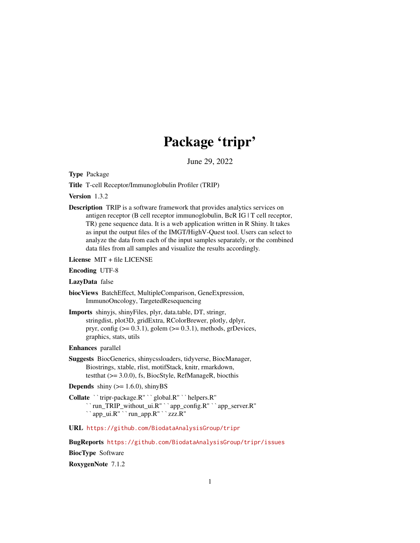# Package 'tripr'

June 29, 2022

<span id="page-0-0"></span>Type Package

Title T-cell Receptor/Immunoglobulin Profiler (TRIP)

Version 1.3.2

Description TRIP is a software framework that provides analytics services on antigen receptor (B cell receptor immunoglobulin, BcR IG | T cell receptor, TR) gene sequence data. It is a web application written in R Shiny. It takes as input the output files of the IMGT/HighV-Quest tool. Users can select to analyze the data from each of the input samples separately, or the combined data files from all samples and visualize the results accordingly.

License MIT + file LICENSE

Encoding UTF-8

LazyData false

biocViews BatchEffect, MultipleComparison, GeneExpression, ImmunoOncology, TargetedResequencing

Imports shinyjs, shinyFiles, plyr, data.table, DT, stringr, stringdist, plot3D, gridExtra, RColorBrewer, plotly, dplyr, pryr, config  $(>= 0.3.1)$ , golem  $(>= 0.3.1)$ , methods, grDevices, graphics, stats, utils

Enhances parallel

- Suggests BiocGenerics, shinycssloaders, tidyverse, BiocManager, Biostrings, xtable, rlist, motifStack, knitr, rmarkdown, testthat (>= 3.0.0), fs, BiocStyle, RefManageR, biocthis
- **Depends** shiny  $(>= 1.6.0)$ , shinyBS

testthat (>= 3.0.0), fs, BiocStyle, RefManageR,<br> **Depends** shiny (>= 1.6.0), shinyBS<br> **Collate** ``tripr-package.R'' ``global.R'' ``helpers.R''<br>
``run\_TRIP\_without\_ui.R'' ``app\_config.R'' ``<br>
``app\_ui.R'' ``run\_app.R'' ``z run\_TRIP\_without\_ui.R'' ``app\_config.R'' ``app\_server.R''

URL <https://github.com/BiodataAnalysisGroup/tripr>

BugReports <https://github.com/BiodataAnalysisGroup/tripr/issues>

BiocType Software

RoxygenNote 7.1.2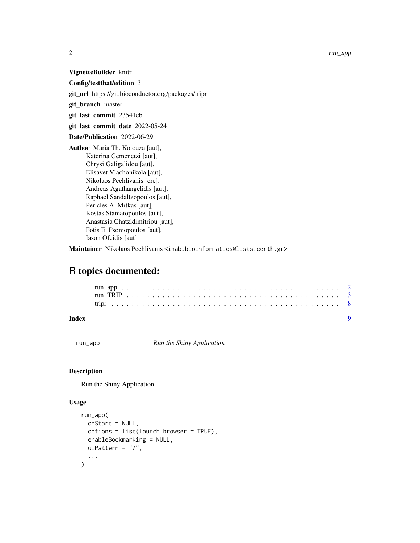<span id="page-1-0"></span>VignetteBuilder knitr

Config/testthat/edition 3

git\_url https://git.bioconductor.org/packages/tripr

git\_branch master

git\_last\_commit 23541cb

git\_last\_commit\_date 2022-05-24

Date/Publication 2022-06-29

Author Maria Th. Kotouza [aut], Katerina Gemenetzi [aut], Chrysi Galigalidou [aut], Elisavet Vlachonikola [aut], Nikolaos Pechlivanis [cre], Andreas Agathangelidis [aut], Raphael Sandaltzopoulos [aut], Pericles A. Mitkas [aut], Kostas Stamatopoulos [aut], Anastasia Chatzidimitriou [aut], Fotis E. Psomopoulos [aut], Iason Ofeidis [aut]

Maintainer Nikolaos Pechlivanis <inab.bioinformatics@lists.certh.gr>

## R topics documented:

#### **Index** [9](#page-8-0)

run\_app *Run the Shiny Application*

#### Description

Run the Shiny Application

#### Usage

```
run_app(
  onStart = NULL,
  options = list(launch.browser = TRUE),
  enableBookmarking = NULL,
  uiPattern = "/",
  ...
\mathcal{E}
```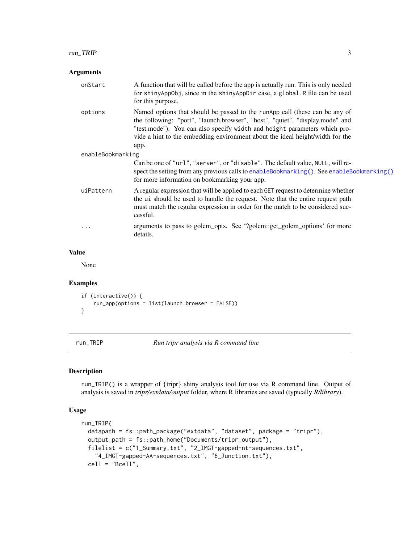#### <span id="page-2-0"></span>Arguments

| onStart           | A function that will be called before the app is actually run. This is only needed<br>for shinyAppObj, since in the shinyAppDir case, a global. R file can be used<br>for this purpose.                                                                                                                                           |  |
|-------------------|-----------------------------------------------------------------------------------------------------------------------------------------------------------------------------------------------------------------------------------------------------------------------------------------------------------------------------------|--|
| options           | Named options that should be passed to the runApp call (these can be any of<br>the following: "port", "launch.browser", "host", "quiet", "display.mode" and<br>"test.mode"). You can also specify width and height parameters which pro-<br>vide a hint to the embedding environment about the ideal height/width for the<br>app. |  |
| enableBookmarking |                                                                                                                                                                                                                                                                                                                                   |  |
|                   | Can be one of "url", "server", or "disable". The default value, NULL, will re-<br>spect the setting from any previous calls to enableBookmarking(). See enableBookmarking()<br>for more information on bookmarking your app.                                                                                                      |  |
| uiPattern         | A regular expression that will be applied to each GET request to determine whether<br>the ui should be used to handle the request. Note that the entire request path<br>must match the regular expression in order for the match to be considered suc-<br>cessful.                                                                |  |
| $\ddotsc$         | arguments to pass to golem_opts. See '?golem::get_golem_options' for more<br>details.                                                                                                                                                                                                                                             |  |

#### Value

None

#### Examples

```
if (interactive()) {
   run_app(options = list(launch.browser = FALSE))
}
```
run\_TRIP *Run tripr analysis via R command line*

#### Description

run\_TRIP() is a wrapper of {tripr} shiny analysis tool for use via R command line. Output of analysis is saved in *tripr/extdata/output* folder, where R libraries are saved (typically *R/library*).

#### Usage

```
run_TRIP(
 datapath = fs::path_package("extdata", "dataset", package = "tripr"),
 output_path = fs::path_home("Documents/tripr_output"),
 filelist = c("1_Summary.txt", "2_IMGT-gapped-nt-sequences.txt",
    "4_IMGT-gapped-AA-sequences.txt", "6_Junction.txt"),
 cell = "Bcell",
```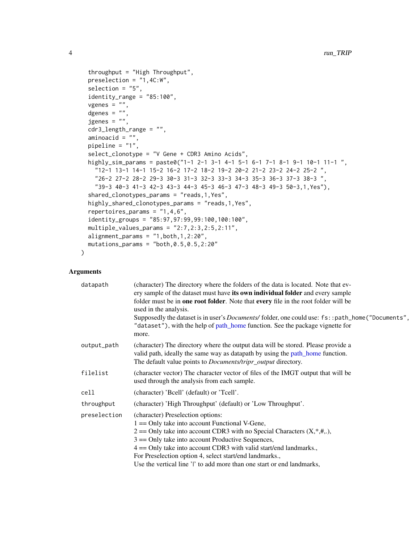```
throughput = "High Throughput",
 preselection = "1,4C:W",
  selection = "5".
  identity\_range = "85:100",vgenes = ",
  dgenes = ""jgenes = ",
  cdr3_length_range = "",
  aminoacid = "".pipeline = "1",
  select_clonotype = "V Gene + CDR3 Amino Acids",
 highly_sim_params = paste0("1-1 2-1 3-1 4-1 5-1 6-1 7-1 8-1 9-1 10-1 11-1 ",
    "12-1 13-1 14-1 15-2 16-2 17-2 18-2 19-2 20-2 21-2 23-2 24-2 25-2 ",
    "26-2 27-2 28-2 29-3 30-3 31-3 32-3 33-3 34-3 35-3 36-3 37-3 38-3 ",
    "39-3 40-3 41-3 42-3 43-3 44-3 45-3 46-3 47-3 48-3 49-3 50-3,1,Yes"),
  shared_clonotypes_params = "reads,1,Yes",
  highly_shared_clonotypes_params = "reads,1,Yes",
  repertoires_params = "1,4,6",
  identity_groups = "85:97,97:99,99:100,100:100",
 multiple_values_params = "2:7,2:3,2:5,2:11",
 alignment_params = "1, both, 1, 2:20",mutations_params = "both, 0.5, 0.5, 2:20"\mathcal{L}
```
#### Arguments

| datapath     | (character) The directory where the folders of the data is located. Note that ev-<br>ery sample of the dataset must have its own individual folder and every sample<br>folder must be in one root folder. Note that every file in the root folder will be<br>used in the analysis.<br>Supposedly the dataset is in user's <i>Documents</i> / folder, one could use: fs::path_home("Documents",<br>"dataset"), with the help of path_home function. See the package vignette for<br>more. |
|--------------|------------------------------------------------------------------------------------------------------------------------------------------------------------------------------------------------------------------------------------------------------------------------------------------------------------------------------------------------------------------------------------------------------------------------------------------------------------------------------------------|
| output_path  | (character) The directory where the output data will be stored. Please provide a<br>valid path, ideally the same way as datapath by using the path_home function.<br>The default value points to <i>Documents/tripr_output</i> directory.                                                                                                                                                                                                                                                |
| filelist     | (character vector) The character vector of files of the IMGT output that will be<br>used through the analysis from each sample.                                                                                                                                                                                                                                                                                                                                                          |
| cell         | (character) 'Bcell' (default) or 'Tcell'.                                                                                                                                                                                                                                                                                                                                                                                                                                                |
| throughput   | (character) 'High Throughput' (default) or 'Low Throughput'.                                                                                                                                                                                                                                                                                                                                                                                                                             |
| preselection | (character) Preselection options:<br>$1 =$ Only take into account Functional V-Gene,<br>$2 =$ Only take into account CDR3 with no Special Characters $(X, *, *,),$<br>$3 =$ Only take into account Productive Sequences,<br>$4 =$ Only take into account CDR3 with valid start/end landmarks.,<br>For Preselection option 4, select start/end landmarks.,<br>Use the vertical line 'l' to add more than one start or end landmarks,                                                      |

<span id="page-3-0"></span>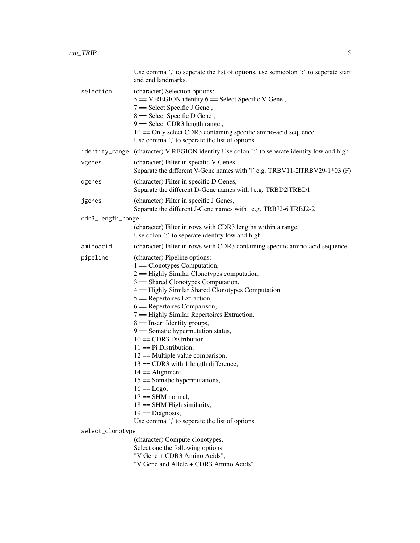|                   | Use comma ',' to seperate the list of options, use semicolon ':' to seperate start<br>and end landmarks.                                                                                                                                                                                                                                                                                                                                                                                                                                                                                                                                                                                                                                                         |  |
|-------------------|------------------------------------------------------------------------------------------------------------------------------------------------------------------------------------------------------------------------------------------------------------------------------------------------------------------------------------------------------------------------------------------------------------------------------------------------------------------------------------------------------------------------------------------------------------------------------------------------------------------------------------------------------------------------------------------------------------------------------------------------------------------|--|
| selection         | (character) Selection options:<br>$5 = V-REGION$ identity $6 = Select Specific V$ Gene,<br>$7 =$ Select Specific J Gene,<br>$8 =$ Select Specific D Gene,<br>$9 =$ Select CDR3 length range,<br>10 == Only select CDR3 containing specific amino-acid sequence.<br>Use comma ',' to seperate the list of options.                                                                                                                                                                                                                                                                                                                                                                                                                                                |  |
|                   | identity_range (character) V-REGION identity Use colon ':' to seperate identity low and high                                                                                                                                                                                                                                                                                                                                                                                                                                                                                                                                                                                                                                                                     |  |
| vgenes            | (character) Filter in specific V Genes,<br>Separate the different V-Gene names with 'l' e.g. TRBV11-2 TRBV29-1*03 (F)                                                                                                                                                                                                                                                                                                                                                                                                                                                                                                                                                                                                                                            |  |
| dgenes            | (character) Filter in specific D Genes,<br>Separate the different D-Gene names with   e.g. TRBD2 TRBD1                                                                                                                                                                                                                                                                                                                                                                                                                                                                                                                                                                                                                                                           |  |
| jgenes            | (character) Filter in specific J Genes,<br>Separate the different J-Gene names with   e.g. TRBJ2-6 TRBJ2-2                                                                                                                                                                                                                                                                                                                                                                                                                                                                                                                                                                                                                                                       |  |
| cdr3_length_range |                                                                                                                                                                                                                                                                                                                                                                                                                                                                                                                                                                                                                                                                                                                                                                  |  |
|                   | (character) Filter in rows with CDR3 lengths within a range,<br>Use colon ':' to seperate identity low and high                                                                                                                                                                                                                                                                                                                                                                                                                                                                                                                                                                                                                                                  |  |
| aminoacid         | (character) Filter in rows with CDR3 containing specific amino-acid sequence                                                                                                                                                                                                                                                                                                                                                                                                                                                                                                                                                                                                                                                                                     |  |
| pipeline          | (character) Pipeline options:<br>$1 =$ Clonotypes Computation,<br>$2 =$ Highly Similar Clonotypes computation,<br>$3 ==$ Shared Clonotypes Computation,<br>4 == Highly Similar Shared Clonotypes Computation,<br>$5 =$ Repertoires Extraction,<br>$6 =$ Repertoires Comparison,<br>7 == Highly Similar Repertoires Extraction,<br>$8 ==$ Insert Identity groups,<br>$9 ==$ Somatic hypermutation status,<br>$10 = \text{CDR3 Distribution}$ ,<br>$11 == Pi$ Distribution,<br>$12 ==$ Multiple value comparison,<br>$13 ==$ CDR3 with 1 length difference,<br>$14 ==$ Alignment,<br>$15 ==$ Somatic hypermutations,<br>$16 ==$ Logo,<br>$17 = SHM$ normal,<br>$18 ==$ SHM High similarity,<br>$19 ==$ Diagnosis,<br>Use comma ',' to seperate the list of options |  |
| select_clonotype  |                                                                                                                                                                                                                                                                                                                                                                                                                                                                                                                                                                                                                                                                                                                                                                  |  |
|                   | (character) Compute clonotypes.<br>Select one the following options:<br>"V Gene + CDR3 Amino Acids",<br>"V Gene and Allele + CDR3 Amino Acids",                                                                                                                                                                                                                                                                                                                                                                                                                                                                                                                                                                                                                  |  |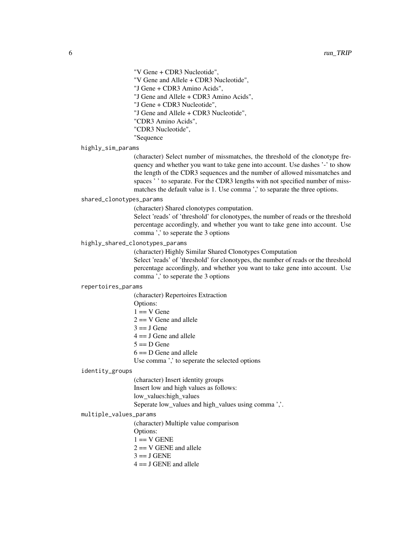"V Gene + CDR3 Nucleotide",

"V Gene and Allele + CDR3 Nucleotide",

"J Gene + CDR3 Amino Acids",

"J Gene and Allele + CDR3 Amino Acids",

"J Gene + CDR3 Nucleotide",

"J Gene and Allele + CDR3 Nucleotide",

"CDR3 Amino Acids",

"CDR3 Nucleotide",

"Sequence

highly\_sim\_params

(character) Select number of missmatches, the threshold of the clonotype frequency and whether you want to take gene into account. Use dashes '-' to show the length of the CDR3 sequences and the number of allowed missmatches and spaces ' ' to separate. For the CDR3 lengths with not specified number of missmatches the default value is 1. Use comma ',' to separate the three options.

#### shared\_clonotypes\_params

(character) Shared clonotypes computation.

Select 'reads' of 'threshold' for clonotypes, the number of reads or the threshold percentage accordingly, and whether you want to take gene into account. Use comma ',' to seperate the 3 options

highly\_shared\_clonotypes\_params

(character) Highly Similar Shared Clonotypes Computation

Select 'reads' of 'threshold' for clonotypes, the number of reads or the threshold percentage accordingly, and whether you want to take gene into account. Use comma ',' to seperate the 3 options

#### repertoires\_params

(character) Repertoires Extraction Options:  $1 == V$  Gene  $2 == V$  Gene and allele  $3 == J$  Gene  $4 == J$  Gene and allele  $5 == D$  Gene  $6 == D$  Gene and allele Use comma ',' to seperate the selected options

#### identity\_groups

(character) Insert identity groups Insert low and high values as follows: low\_values:high\_values Seperate low\_values and high\_values using comma ','.

#### multiple\_values\_params

(character) Multiple value comparison

Options:

 $1 = V$  GENE

 $2 == V$  GENE and allele

 $3 == J$  GENE

 $4 == J$  GENE and allele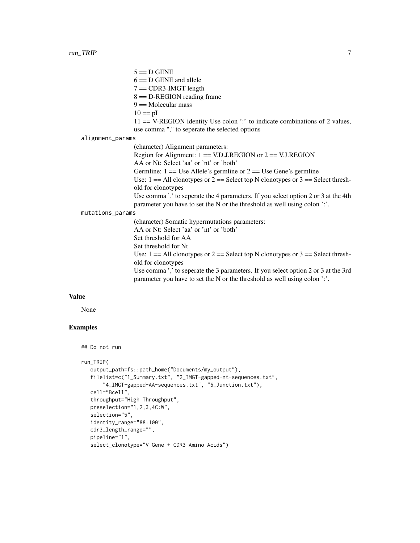$5 = D$  GENE  $6 == D$  GENE and allele  $7 = \text{CDR3-IMGT length}$  $8 = D$ -REGION reading frame  $9 ==$  Molecular mass  $10 == pI$ 11 == V-REGION identity Use colon ':' to indicate combinations of 2 values, use comma "," to seperate the selected options alignment\_params (character) Alignment parameters: Region for Alignment:  $1 = V.D.J.REGION$  or  $2 = V.J.REGION$ 

AA or Nt: Select 'aa' or 'nt' or 'both'

Germline:  $1 = Use$  Allele's germline or  $2 = Use$  Gene's germline

Use:  $1 = All$  clonotypes or  $2 =$  Select top N clonotypes or  $3 =$  Select threshold for clonotypes

Use comma ',' to seperate the 4 parameters. If you select option 2 or 3 at the 4th parameter you have to set the N or the threshold as well using colon ':'.

mutations\_params

(character) Somatic hypermutations parameters: AA or Nt: Select 'aa' or 'nt' or 'both' Set threshold for AA Set threshold for Nt Use:  $1 = All$  clonotypes or  $2 =$  Select top N clonotypes or  $3 =$  Select threshold for clonotypes Use comma ',' to seperate the 3 parameters. If you select option 2 or 3 at the 3rd parameter you have to set the N or the threshold as well using colon ':'.

#### Value

None

#### Examples

```
## Do not run
```
run\_TRIP(

```
output_path=fs::path_home("Documents/my_output"),
filelist=c("1_Summary.txt", "2_IMGT-gapped-nt-sequences.txt",
    "4_IMGT-gapped-AA-sequences.txt", "6_Junction.txt"),
cell="Bcell",
throughput="High Throughput",
preselection="1,2,3,4C:W",
selection="5",
identity_range="88:100",
cdr3_length_range="",
pipeline="1",
select_clonotype="V Gene + CDR3 Amino Acids")
```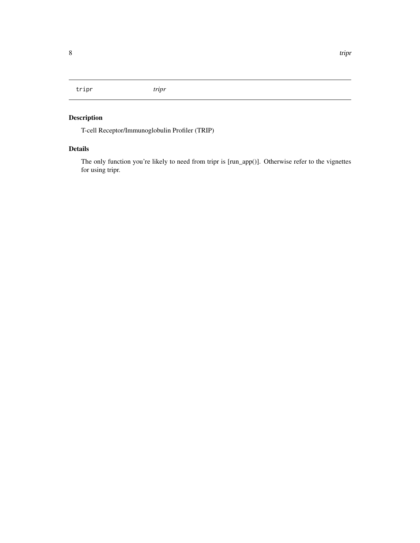<span id="page-7-0"></span>tripr *tripr*

### Description

T-cell Receptor/Immunoglobulin Profiler (TRIP)

#### Details

The only function you're likely to need from tripr is [run\_app()]. Otherwise refer to the vignettes for using tripr.